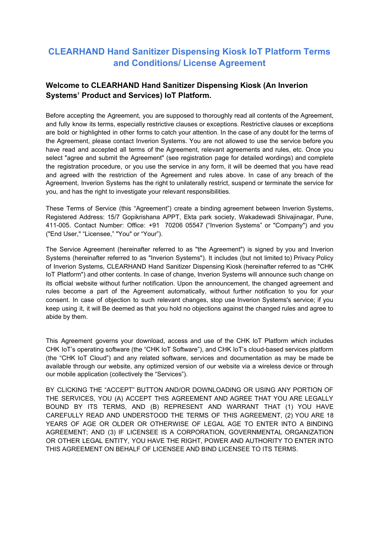# **CLEARHAND Hand Sanitizer Dispensing Kiosk IoT Platform Terms and Conditions/ License Agreement**

## **Welcome to CLEARHAND Hand Sanitizer Dispensing Kiosk (An Inverion Systems' Product and Services) IoT Platform.**

Before accepting the Agreement, you are supposed to thoroughly read all contents of the Agreement, and fully know its terms, especially restrictive clauses or exceptions. Restrictive clauses or exceptions are bold or highlighted in other forms to catch your attention. In the case of any doubt for the terms of the Agreement, please contact Inverion Systems. You are not allowed to use the service before you have read and accepted all terms of the Agreement, relevant agreements and rules, etc. Once you select "agree and submit the Agreement" (see registration page for detailed wordings) and complete the registration procedure, or you use the service in any form, it will be deemed that you have read and agreed with the restriction of the Agreement and rules above. In case of any breach of the Agreement, Inverion Systems has the right to unilaterally restrict, suspend or terminate the service for you, and has the right to investigate your relevant responsibilities.

These Terms of Service (this "Agreement") create a binding agreement between Inverion Systems, Registered Address: 15/7 Gopikrishana APPT, Ekta park society, Wakadewadi Shivajinagar, Pune, 411-005. Contact Number: Office: +91 70206 05547 ("Inverion Systems" or "Company") and you ("End User," "Licensee," "You" or "Your").

The Service Agreement (hereinafter referred to as "the Agreement") is signed by you and Inverion Systems (hereinafter referred to as "Inverion Systems"). It includes (but not limited to) Privacy Policy of Inverion Systems, CLEARHAND Hand Sanitizer Dispensing Kiosk (hereinafter referred to as "CHK IoT Platform") and other contents. In case of change, Inverion Systems will announce such change on its official website without further notification. Upon the announcement, the changed agreement and rules become a part of the Agreement automatically, without further notification to you for your consent. In case of objection to such relevant changes, stop use Inverion Systems's service; if you keep using it, it will Be deemed as that you hold no objections against the changed rules and agree to abide by them.

This Agreement governs your download, access and use of the CHK IoT Platform which includes CHK IoT's operating software (the "CHK IoT Software"), and CHK IoT's cloud-based services platform (the "CHK IoT Cloud") and any related software, services and documentation as may be made be available through our website, any optimized version of our website via a wireless device or through our mobile application (collectively the "Services").

BY CLICKING THE "ACCEPT" BUTTON AND/OR DOWNLOADING OR USING ANY PORTION OF THE SERVICES, YOU (A) ACCEPT THIS AGREEMENT AND AGREE THAT YOU ARE LEGALLY BOUND BY ITS TERMS, AND (B) REPRESENT AND WARRANT THAT (1) YOU HAVE CAREFULLY READ AND UNDERSTOOD THE TERMS OF THIS AGREEMENT, (2) YOU ARE 18 YEARS OF AGE OR OLDER OR OTHERWISE OF LEGAL AGE TO ENTER INTO A BINDING AGREEMENT; AND (3) IF LICENSEE IS A CORPORATION, GOVERNMENTAL ORGANIZATION OR OTHER LEGAL ENTITY, YOU HAVE THE RIGHT, POWER AND AUTHORITY TO ENTER INTO THIS AGREEMENT ON BEHALF OF LICENSEE AND BIND LICENSEE TO ITS TERMS.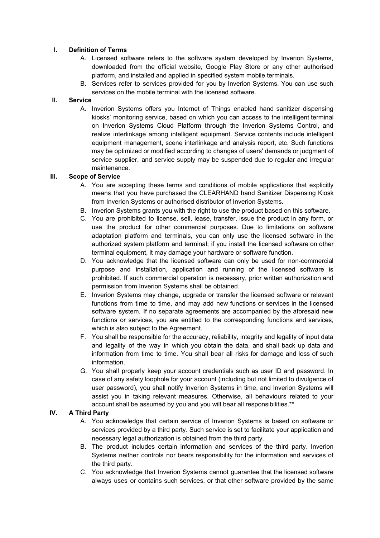#### **I. Definition of Terms**

- A. Licensed software refers to the software system developed by Inverion Systems, downloaded from the official website, Google Play Store or any other authorised platform, and installed and applied in specified system mobile terminals.
- B. Services refer to services provided for you by Inverion Systems. You can use such services on the mobile terminal with the licensed software.

#### **II. Service**

A. Inverion Systems offers you Internet of Things enabled hand sanitizer dispensing kiosks' monitoring service, based on which you can access to the intelligent terminal on Inverion Systems Cloud Platform through the Inverion Systems Control, and realize interlinkage among intelligent equipment. Service contents include intelligent equipment management, scene interlinkage and analysis report, etc. Such functions may be optimized or modified according to changes of users' demands or judgment of service supplier, and service supply may be suspended due to regular and irregular maintenance.

#### **III. Scope of Service**

- A. You are accepting these terms and conditions of mobile applications that explicitly means that you have purchased the CLEARHAND hand Sanitizer Dispensing Kiosk from Inverion Systems or authorised distributor of Inverion Systems.
- B. Inverion Systems grants you with the right to use the product based on this software.
- C. You are prohibited to license, sell, lease, transfer, issue the product in any form, or use the product for other commercial purposes. Due to limitations on software adaptation platform and terminals, you can only use the licensed software in the authorized system platform and terminal; if you install the licensed software on other terminal equipment, it may damage your hardware or software function.
- D. You acknowledge that the licensed software can only be used for non-commercial purpose and installation, application and running of the licensed software is prohibited. If such commercial operation is necessary, prior written authorization and permission from Inverion Systems shall be obtained.
- E. Inverion Systems may change, upgrade or transfer the licensed software or relevant functions from time to time, and may add new functions or services in the licensed software system. If no separate agreements are accompanied by the aforesaid new functions or services, you are entitled to the corresponding functions and services, which is also subject to the Agreement.
- F. You shall be responsible for the accuracy, reliability, integrity and legality of input data and legality of the way in which you obtain the data, and shall back up data and information from time to time. You shall bear all risks for damage and loss of such information.
- G. You shall properly keep your account credentials such as user ID and password. In case of any safety loophole for your account (including but not limited to divulgence of user password), you shall notify Inverion Systems in time, and Inverion Systems will assist you in taking relevant measures. Otherwise, all behaviours related to your account shall be assumed by you and you will bear all responsibilities.\*\*

#### **IV. A Third Party**

- A. You acknowledge that certain service of Inverion Systems is based on software or services provided by a third party. Such service is set to facilitate your application and necessary legal authorization is obtained from the third party.
- B. The product includes certain information and services of the third party. Inverion Systems neither controls nor bears responsibility for the information and services of the third party.
- C. You acknowledge that Inverion Systems cannot guarantee that the licensed software always uses or contains such services, or that other software provided by the same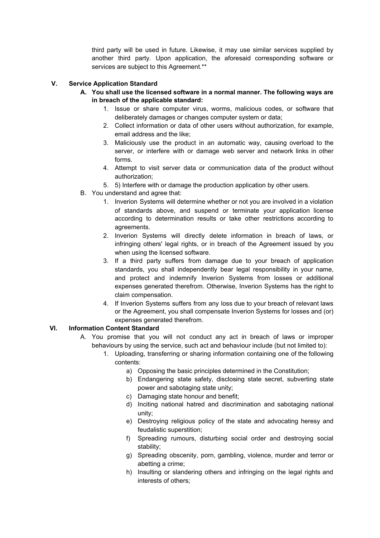third party will be used in future. Likewise, it may use similar services supplied by another third party. Upon application, the aforesaid corresponding software or services are subject to this Agreement.\*\*

#### **V. Service Application Standard**

- **A. You shall use the licensed software in a normal manner. The following ways are in breach of the applicable standard:**
	- 1. Issue or share computer virus, worms, malicious codes, or software that deliberately damages or changes computer system or data;
	- 2. Collect information or data of other users without authorization, for example, email address and the like;
	- 3. Maliciously use the product in an automatic way, causing overload to the server, or interfere with or damage web server and network links in other forms.
	- 4. Attempt to visit server data or communication data of the product without authorization;
	- 5. 5) Interfere with or damage the production application by other users.
- B. You understand and agree that:
	- 1. Inverion Systems will determine whether or not you are involved in a violation of standards above, and suspend or terminate your application license according to determination results or take other restrictions according to agreements.
	- 2. Inverion Systems will directly delete information in breach of laws, or infringing others' legal rights, or in breach of the Agreement issued by you when using the licensed software.
	- 3. If a third party suffers from damage due to your breach of application standards, you shall independently bear legal responsibility in your name, and protect and indemnify Inverion Systems from losses or additional expenses generated therefrom. Otherwise, Inverion Systems has the right to claim compensation.
	- 4. If Inverion Systems suffers from any loss due to your breach of relevant laws or the Agreement, you shall compensate Inverion Systems for losses and (or) expenses generated therefrom.

#### **VI. Information Content Standard**

- A. You promise that you will not conduct any act in breach of laws or improper behaviours by using the service, such act and behaviour include (but not limited to):
	- 1. Uploading, transferring or sharing information containing one of the following contents:
		- a) Opposing the basic principles determined in the Constitution;
		- b) Endangering state safety, disclosing state secret, subverting state power and sabotaging state unity;
		- c) Damaging state honour and benefit;
		- d) Inciting national hatred and discrimination and sabotaging national unity;
		- e) Destroying religious policy of the state and advocating heresy and feudalistic superstition;
		- f) Spreading rumours, disturbing social order and destroying social stability;
		- g) Spreading obscenity, porn, gambling, violence, murder and terror or abetting a crime;
		- h) Insulting or slandering others and infringing on the legal rights and interests of others;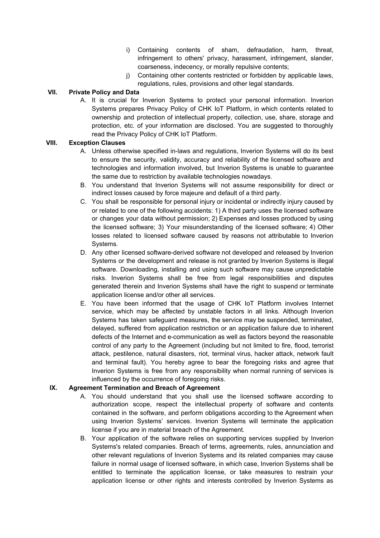- i) Containing contents of sham, defraudation, harm, threat, infringement to others' privacy, harassment, infringement, slander, coarseness, indecency, or morally repulsive contents;
- j) Containing other contents restricted or forbidden by applicable laws, regulations, rules, provisions and other legal standards.

### **VII. Private Policy and Data**

A. It is crucial for Inverion Systems to protect your personal information. Inverion Systems prepares Privacy Policy of CHK IoT Platform, in which contents related to ownership and protection of intellectual property, collection, use, share, storage and protection, etc. of your information are disclosed. You are suggested to thoroughly read the Privacy Policy of CHK IoT Platform.

#### **VIII. Exception Clauses**

- A. Unless otherwise specified in-laws and regulations, Inverion Systems will do its best to ensure the security, validity, accuracy and reliability of the licensed software and technologies and information involved, but Inverion Systems is unable to guarantee the same due to restriction by available technologies nowadays.
- B. You understand that Inverion Systems will not assume responsibility for direct or indirect losses caused by force majeure and default of a third party.
- C. You shall be responsible for personal injury or incidental or indirectly injury caused by or related to one of the following accidents: 1) A third party uses the licensed software or changes your data without permission; 2) Expenses and losses produced by using the licensed software; 3) Your misunderstanding of the licensed software; 4) Other losses related to licensed software caused by reasons not attributable to Inverion Systems.
- D. Any other licensed software-derived software not developed and released by Inverion Systems or the development and release is not granted by Inverion Systems is illegal software. Downloading, installing and using such software may cause unpredictable risks. Inverion Systems shall be free from legal responsibilities and disputes generated therein and Inverion Systems shall have the right to suspend or terminate application license and/or other all services.
- E. You have been informed that the usage of CHK IoT Platform involves Internet service, which may be affected by unstable factors in all links. Although Inverion Systems has taken safeguard measures, the service may be suspended, terminated, delayed, suffered from application restriction or an application failure due to inherent defects of the Internet and e-communication as well as factors beyond the reasonable control of any party to the Agreement (including but not limited to fire, flood, terrorist attack, pestilence, natural disasters, riot, terminal virus, hacker attack, network fault and terminal fault). You hereby agree to bear the foregoing risks and agree that Inverion Systems is free from any responsibility when normal running of services is influenced by the occurrence of foregoing risks.

#### **IX. Agreement Termination and Breach of Agreement**

- A. You should understand that you shall use the licensed software according to authorization scope, respect the intellectual property of software and contents contained in the software, and perform obligations according to the Agreement when using Inverion Systems' services. Inverion Systems will terminate the application license if you are in material breach of the Agreement.
- B. Your application of the software relies on supporting services supplied by Inverion Systems's related companies. Breach of terms, agreements, rules, annunciation and other relevant regulations of Inverion Systems and its related companies may cause failure in normal usage of licensed software, in which case, Inverion Systems shall be entitled to terminate the application license, or take measures to restrain your application license or other rights and interests controlled by Inverion Systems as